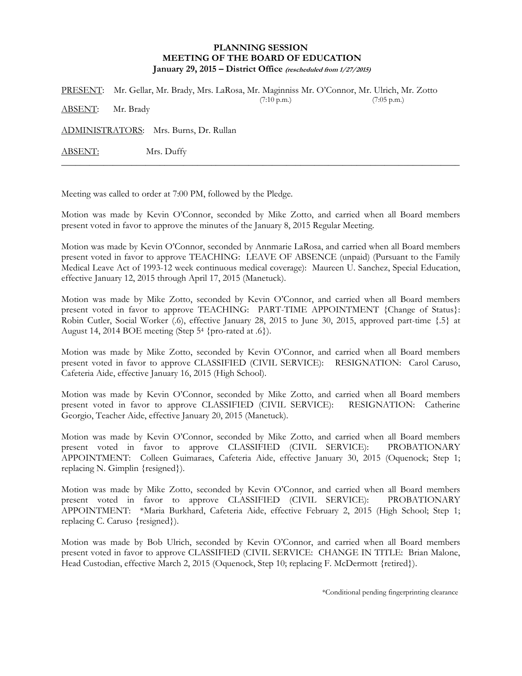## **PLANNING SESSION MEETING OF THE BOARD OF EDUCATION January 29, 2015 – District Office (rescheduled from 1/27/2015)**

PRESENT: Mr. Gellar, Mr. Brady, Mrs. LaRosa, Mr. Maginniss Mr. O'Connor, Mr. Ulrich, Mr. Zotto (7:10 p.m.) (7:05 p.m.) ABSENT: Mr. Brady

ADMINISTRATORS: Mrs. Burns, Dr. Rullan

ABSENT: Mrs. Duffy

Meeting was called to order at 7:00 PM, followed by the Pledge.

Motion was made by Kevin O'Connor, seconded by Mike Zotto, and carried when all Board members present voted in favor to approve the minutes of the January 8, 2015 Regular Meeting.

\_\_\_\_\_\_\_\_\_\_\_\_\_\_\_\_\_\_\_\_\_\_\_\_\_\_\_\_\_\_\_\_\_\_\_\_\_\_\_\_\_\_\_\_\_\_\_\_\_\_\_\_\_\_\_\_\_\_\_\_\_\_\_\_\_\_\_\_\_\_\_\_\_\_\_\_\_\_\_\_\_\_\_\_\_

Motion was made by Kevin O'Connor, seconded by Annmarie LaRosa, and carried when all Board members present voted in favor to approve TEACHING: LEAVE OF ABSENCE (unpaid) (Pursuant to the Family Medical Leave Act of 1993-12 week continuous medical coverage): Maureen U. Sanchez, Special Education, effective January 12, 2015 through April 17, 2015 (Manetuck).

Motion was made by Mike Zotto, seconded by Kevin O'Connor, and carried when all Board members present voted in favor to approve TEACHING: PART-TIME APPOINTMENT {Change of Status}: Robin Cutler, Social Worker (.6), effective January 28, 2015 to June 30, 2015, approved part-time {.5} at August 14, 2014 BOE meeting (Step  $5^4$  {pro-rated at .6}).

Motion was made by Mike Zotto, seconded by Kevin O'Connor, and carried when all Board members present voted in favor to approve CLASSIFIED (CIVIL SERVICE): RESIGNATION: Carol Caruso, Cafeteria Aide, effective January 16, 2015 (High School).

Motion was made by Kevin O'Connor, seconded by Mike Zotto, and carried when all Board members present voted in favor to approve CLASSIFIED (CIVIL SERVICE): RESIGNATION: Catherine Georgio, Teacher Aide, effective January 20, 2015 (Manetuck).

Motion was made by Kevin O'Connor, seconded by Mike Zotto, and carried when all Board members present voted in favor to approve CLASSIFIED (CIVIL SERVICE): PROBATIONARY APPOINTMENT: Colleen Guimaraes, Cafeteria Aide, effective January 30, 2015 (Oquenock; Step 1; replacing N. Gimplin {resigned}).

Motion was made by Mike Zotto, seconded by Kevin O'Connor, and carried when all Board members present voted in favor to approve CLASSIFIED (CIVIL SERVICE): PROBATIONARY APPOINTMENT: \*Maria Burkhard, Cafeteria Aide, effective February 2, 2015 (High School; Step 1; replacing C. Caruso {resigned}).

Motion was made by Bob Ulrich, seconded by Kevin O'Connor, and carried when all Board members present voted in favor to approve CLASSIFIED (CIVIL SERVICE: CHANGE IN TITLE: Brian Malone, Head Custodian, effective March 2, 2015 (Oquenock, Step 10; replacing F. McDermott {retired}).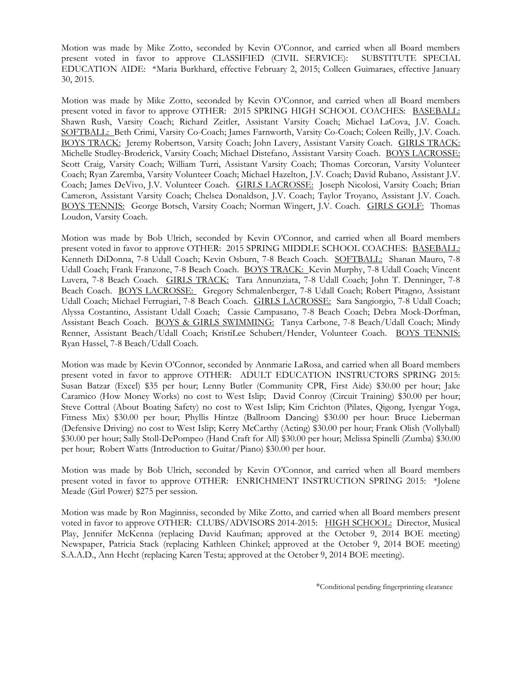Motion was made by Mike Zotto, seconded by Kevin O'Connor, and carried when all Board members present voted in favor to approve CLASSIFIED (CIVIL SERVICE): SUBSTITUTE SPECIAL EDUCATION AIDE: \*Maria Burkhard, effective February 2, 2015; Colleen Guimaraes, effective January 30, 2015.

Motion was made by Mike Zotto, seconded by Kevin O'Connor, and carried when all Board members present voted in favor to approve OTHER: 2015 SPRING HIGH SCHOOL COACHES: BASEBALL: Shawn Rush, Varsity Coach; Richard Zeitler, Assistant Varsity Coach; Michael LaCova, J.V. Coach. SOFTBALL: Beth Crimi, Varsity Co-Coach; James Farnworth, Varsity Co-Coach; Coleen Reilly, J.V. Coach. BOYS TRACK: Jeremy Robertson, Varsity Coach; John Lavery, Assistant Varsity Coach. GIRLS TRACK: Michelle Studley-Broderick, Varsity Coach; Michael Distefano, Assistant Varsity Coach. BOYS LACROSSE: Scott Craig, Varsity Coach; William Turri, Assistant Varsity Coach; Thomas Corcoran, Varsity Volunteer Coach; Ryan Zaremba, Varsity Volunteer Coach; Michael Hazelton, J.V. Coach; David Rubano, Assistant J.V. Coach; James DeVivo, J.V. Volunteer Coach. GIRLS LACROSSE: Joseph Nicolosi, Varsity Coach; Brian Cameron, Assistant Varsity Coach; Chelsea Donaldson, J.V. Coach; Taylor Troyano, Assistant J.V. Coach. BOYS TENNIS: George Botsch, Varsity Coach; Norman Wingert, J.V. Coach. GIRLS GOLF: Thomas Loudon, Varsity Coach.

Motion was made by Bob Ulrich, seconded by Kevin O'Connor, and carried when all Board members present voted in favor to approve OTHER: 2015 SPRING MIDDLE SCHOOL COACHES: BASEBALL: Kenneth DiDonna, 7-8 Udall Coach; Kevin Osburn, 7-8 Beach Coach. SOFTBALL: Shanan Mauro, 7-8 Udall Coach; Frank Franzone, 7-8 Beach Coach. BOYS TRACK: Kevin Murphy, 7-8 Udall Coach; Vincent Luvera, 7-8 Beach Coach. GIRLS TRACK: Tara Annunziata, 7-8 Udall Coach; John T. Denninger, 7-8 Beach Coach. BOYS LACROSSE: Gregory Schmalenberger, 7-8 Udall Coach; Robert Pitagno, Assistant Udall Coach; Michael Ferrugiari, 7-8 Beach Coach. GIRLS LACROSSE: Sara Sangiorgio, 7-8 Udall Coach; Alyssa Costantino, Assistant Udall Coach; Cassie Campasano, 7-8 Beach Coach; Debra Mock-Dorfman, Assistant Beach Coach. BOYS & GIRLS SWIMMING: Tanya Carbone, 7-8 Beach/Udall Coach; Mindy Renner, Assistant Beach/Udall Coach; KristiLee Schubert/Hender, Volunteer Coach. BOYS TENNIS: Ryan Hassel, 7-8 Beach/Udall Coach.

Motion was made by Kevin O'Connor, seconded by Annmarie LaRosa, and carried when all Board members present voted in favor to approve OTHER: ADULT EDUCATION INSTRUCTORS SPRING 2015: Susan Batzar (Excel) \$35 per hour; Lenny Butler (Community CPR, First Aide) \$30.00 per hour; Jake Caramico (How Money Works) no cost to West Islip; David Conroy (Circuit Training) \$30.00 per hour; Steve Cottral (About Boating Safety) no cost to West Islip; Kim Crichton (Pilates, Qigong, Iyengar Yoga, Fitness Mix) \$30.00 per hour; Phyllis Hintze (Ballroom Dancing) \$30.00 per hour: Bruce Lieberman (Defensive Driving) no cost to West Islip; Kerry McCarthy (Acting) \$30.00 per hour; Frank Olish (Vollyball) \$30.00 per hour; Sally Stoll-DePompeo (Hand Craft for All) \$30.00 per hour; Melissa Spinelli (Zumba) \$30.00 per hour; Robert Watts (Introduction to Guitar/Piano) \$30.00 per hour.

Motion was made by Bob Ulrich, seconded by Kevin O'Connor, and carried when all Board members present voted in favor to approve OTHER: ENRICHMENT INSTRUCTION SPRING 2015: \*Jolene Meade (Girl Power) \$275 per session.

Motion was made by Ron Maginniss, seconded by Mike Zotto, and carried when all Board members present voted in favor to approve OTHER: CLUBS/ADVISORS 2014-2015: HIGH SCHOOL: Director, Musical Play, Jennifer McKenna (replacing David Kaufman; approved at the October 9, 2014 BOE meeting) Newspaper, Patricia Stack (replacing Kathleen Chinkel; approved at the October 9, 2014 BOE meeting) S.A.A.D., Ann Hecht (replacing Karen Testa; approved at the October 9, 2014 BOE meeting).